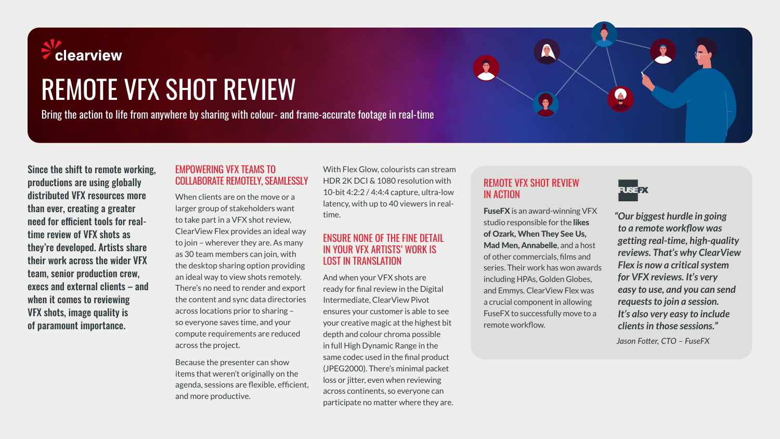

# REMOTE VFX SHOT REVIEW

Bring the action to life from anywhere by sharing with colour- and frame-accurate footage in real-time

Since the shift to remote working, productions are using globally distributed VFX resources more than ever, creating a greater need for efficient tools for realtime review of VFX shots as they're developed. Artists share their work across the wider VFX team, senior production crew, execs and external clients – and when it comes to reviewing VFX shots, image quality is of paramount importance.

#### EMPOWERING VFX TEAMS TO COLLABORATE REMOTELY, SEAMLESSLY

When clients are on the move or a larger group of stakeholders want to take part in a VFX shot review, ClearView Flex provides an ideal way to join – wherever they are. As many as 30 team members can join, with the desktop sharing option providing an ideal way to view shots remotely. There's no need to render and export the content and sync data directories across locations prior to sharing – so everyone saves time, and your compute requirements are reduced across the project.

Because the presenter can show items that weren't originally on the agenda, sessions are flexible, efficient, and more productive.

With Flex Glow, colourists can stream HDR 2K DCI & 1080 resolution with 10-bit 4:2:2 / 4:4:4 capture, ultra-low latency, with up to 40 viewers in realtime.

#### ENSURE NONE OF THE FINE DETAIL IN YOUR VFX ARTISTS' WORK IS LOST IN TRANSLATION

And when your VFX shots are ready for final review in the Digital Intermediate, ClearView Pivot ensures your customer is able to see your creative magic at the highest bit depth and colour chroma possible in full High Dynamic Range in the same codec used in the final product (JPEG2000). There's minimal packet loss or jitter, even when reviewing across continents, so everyone can participate no matter where they are.

## REMOTE VFX SHOT REVIEW IN ACTION

FuseFX is an award-winning VFX studio responsible for the likes of Ozark, When They See Us, Mad Men, Annabelle, and a host of other commercials, films and series. Their work has won awards including HPAs, Golden Globes, and Emmys. ClearView Flex was a crucial component in allowing FuseFX to successfully move to a remote workflow.



A

*"Our biggest hurdle in going to a remote workflow was getting real-time, high-quality reviews. That's why ClearView Flex is now a critical system for VFX reviews. It's very easy to use, and you can send requests to join a session. It's also very easy to include clients in those sessions." Jason Fotter, CTO – FuseFX*